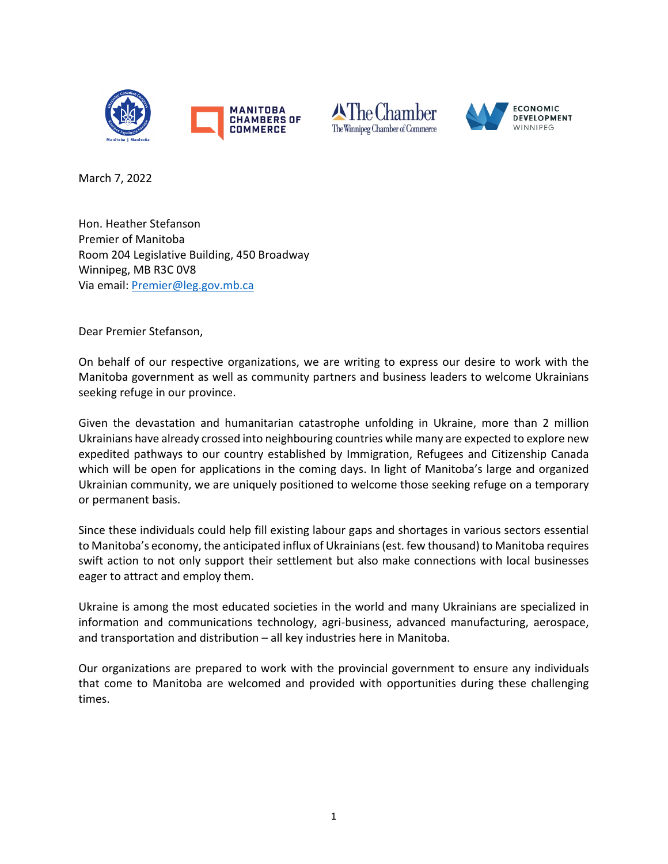





March 7, 2022

Hon. Heather Stefanson Premier of Manitoba Room 204 Legislative Building, 450 Broadway Winnipeg, MB R3C 0V8 Via email: Premier@leg.gov.mb.ca

Dear Premier Stefanson,

On behalf of our respective organizations, we are writing to express our desire to work with the Manitoba government as well as community partners and business leaders to welcome Ukrainians seeking refuge in our province.

Given the devastation and humanitarian catastrophe unfolding in Ukraine, more than 2 million Ukrainians have already crossed into neighbouring countries while many are expected to explore new expedited pathways to our country established by Immigration, Refugees and Citizenship Canada which will be open for applications in the coming days. In light of Manitoba's large and organized Ukrainian community, we are uniquely positioned to welcome those seeking refuge on a temporary or permanent basis.

Since these individuals could help fill existing labour gaps and shortages in various sectors essential to Manitoba's economy, the anticipated influx of Ukrainians(est. few thousand) to Manitoba requires swift action to not only support their settlement but also make connections with local businesses eager to attract and employ them.

Ukraine is among the most educated societies in the world and many Ukrainians are specialized in information and communications technology, agri-business, advanced manufacturing, aerospace, and transportation and distribution – all key industries here in Manitoba.

Our organizations are prepared to work with the provincial government to ensure any individuals that come to Manitoba are welcomed and provided with opportunities during these challenging times.